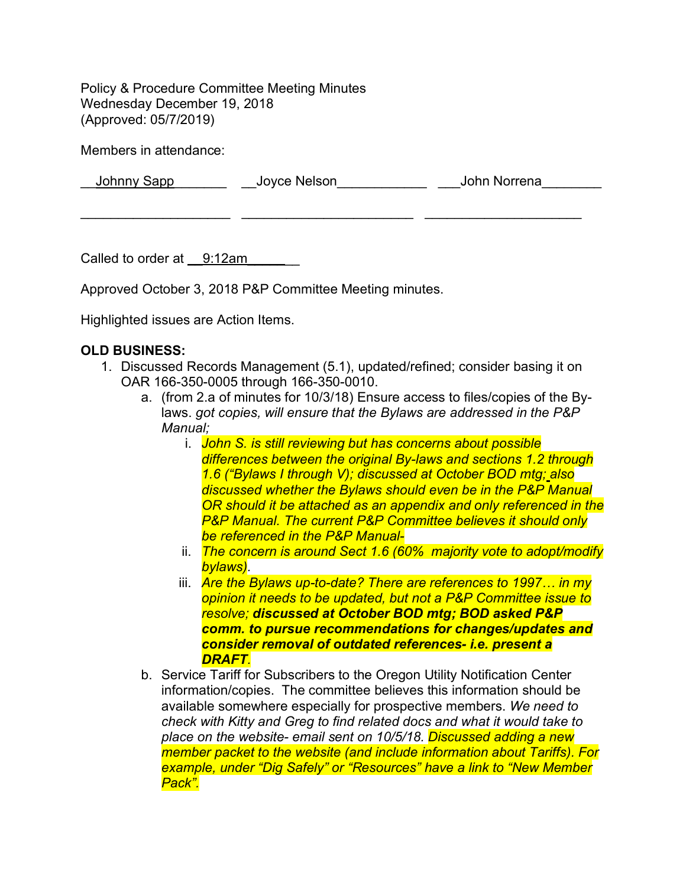Policy & Procedure Committee Meeting Minutes Wednesday December 19, 2018 (Approved: 05/7/2019)

Members in attendance:

\_\_Johnny Sapp\_\_\_\_\_\_\_ \_\_Joyce Nelson\_\_\_\_\_\_\_\_\_\_\_\_ \_\_\_John Norrena\_\_\_\_\_\_\_\_

 $\mathcal{L}_\text{max} = \frac{1}{2} \sum_{i=1}^{n} \frac{1}{2} \sum_{i=1}^{n} \frac{1}{2} \sum_{i=1}^{n} \frac{1}{2} \sum_{i=1}^{n} \frac{1}{2} \sum_{i=1}^{n} \frac{1}{2} \sum_{i=1}^{n} \frac{1}{2} \sum_{i=1}^{n} \frac{1}{2} \sum_{i=1}^{n} \frac{1}{2} \sum_{i=1}^{n} \frac{1}{2} \sum_{i=1}^{n} \frac{1}{2} \sum_{i=1}^{n} \frac{1}{2} \sum_{i=1}^{n} \frac{1$ 

Called to order at 9:12am

Approved October 3, 2018 P&P Committee Meeting minutes.

Highlighted issues are Action Items.

## **OLD BUSINESS:**

- 1. Discussed Records Management (5.1), updated/refined; consider basing it on OAR 166-350-0005 through 166-350-0010.
	- a. (from 2.a of minutes for 10/3/18) Ensure access to files/copies of the Bylaws. *got copies, will ensure that the Bylaws are addressed in the P&P Manual;* 
		- i. *John S. is still reviewing but has concerns about possible differences between the original By-laws and sections 1.2 through 1.6 ("Bylaws I through V); discussed at October BOD mtg; also discussed whether the Bylaws should even be in the P&P Manual OR should it be attached as an appendix and only referenced in the P&P Manual. The current P&P Committee believes it should only be referenced in the P&P Manual-*
		- ii. *The concern is around Sect 1.6 (60% majority vote to adopt/modify bylaws).*
		- iii. *Are the Bylaws up-to-date? There are references to 1997… in my opinion it needs to be updated, but not a P&P Committee issue to resolve; discussed at October BOD mtg; BOD asked P&P comm. to pursue recommendations for changes/updates and consider removal of outdated references- i.e. present a DRAFT.*
	- b. Service Tariff for Subscribers to the Oregon Utility Notification Center information/copies. The committee believes this information should be available somewhere especially for prospective members. *We need to check with Kitty and Greg to find related docs and what it would take to place on the website- email sent on 10/5/18. Discussed adding a new member packet to the website (and include information about Tariffs). For example, under "Dig Safely" or "Resources" have a link to "New Member Pack".*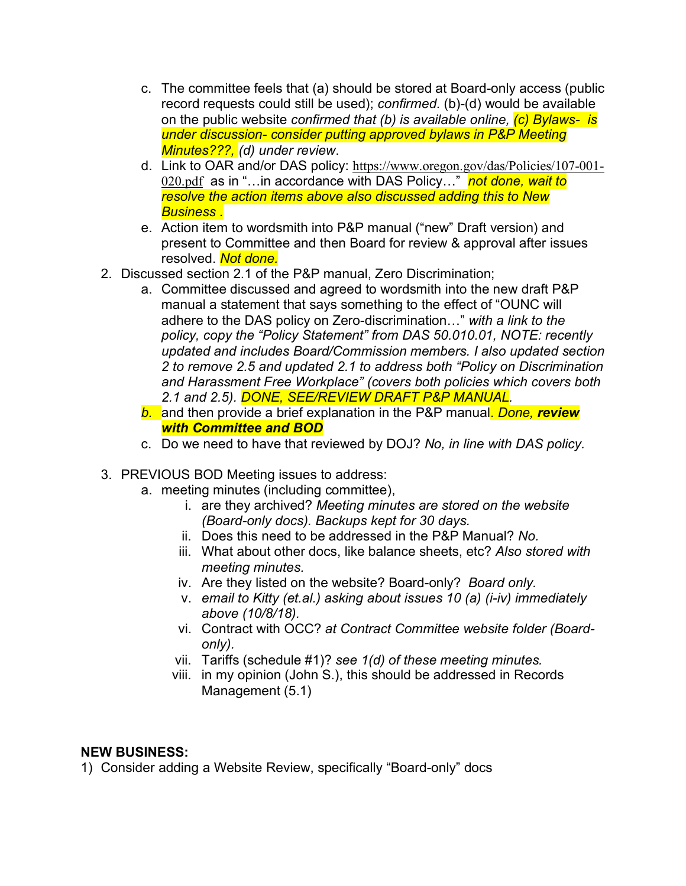- c. The committee feels that (a) should be stored at Board-only access (public record requests could still be used); *confirmed*. (b)-(d) would be available on the public website *confirmed that (b) is available online, (c) Bylaws- is under discussion- consider putting approved bylaws in P&P Meeting Minutes???, (d) under review*.
- d. Link to OAR and/or DAS policy: https://www.oregon.gov/das/Policies/107-001- 020.pdf as in "…in accordance with DAS Policy…" *not done, wait to resolve the action items above also discussed adding this to New Business .*
- e. Action item to wordsmith into P&P manual ("new" Draft version) and present to Committee and then Board for review & approval after issues resolved. *Not done.*
- 2. Discussed section 2.1 of the P&P manual, Zero Discrimination;
	- a. Committee discussed and agreed to wordsmith into the new draft P&P manual a statement that says something to the effect of "OUNC will adhere to the DAS policy on Zero-discrimination…" *with a link to the policy, copy the "Policy Statement" from DAS 50.010.01, NOTE: recently updated and includes Board/Commission members. I also updated section 2 to remove 2.5 and updated 2.1 to address both "Policy on Discrimination and Harassment Free Workplace" (covers both policies which covers both 2.1 and 2.5). DONE, SEE/REVIEW DRAFT P&P MANUAL.*
	- *b.* and then provide a brief explanation in the P&P manual. *Done, review with Committee and BOD*
	- c. Do we need to have that reviewed by DOJ? *No, in line with DAS policy.*
- 3. PREVIOUS BOD Meeting issues to address:
	- a. meeting minutes (including committee),
		- i. are they archived? *Meeting minutes are stored on the website (Board-only docs). Backups kept for 30 days.*
		- ii. Does this need to be addressed in the P&P Manual? *No.*
		- iii. What about other docs, like balance sheets, etc? *Also stored with meeting minutes.*
		- iv. Are they listed on the website? Board-only? *Board only.*
		- v. *email to Kitty (et.al.) asking about issues 10 (a) (i-iv) immediately above (10/8/18).*
		- vi. Contract with OCC? *at Contract Committee website folder (Boardonly).*
		- vii. Tariffs (schedule #1)? *see 1(d) of these meeting minutes.*
		- viii. in my opinion (John S.), this should be addressed in Records Management (5.1)

## **NEW BUSINESS:**

1) Consider adding a Website Review, specifically "Board-only" docs